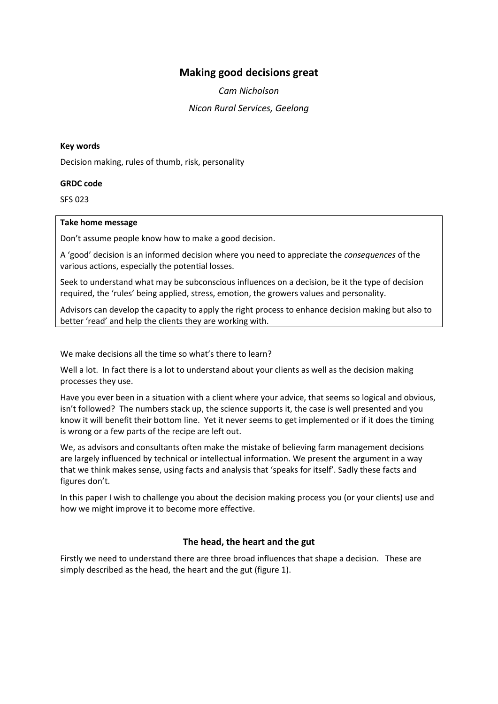# **Making good decisions great**

*Cam Nicholson Nicon Rural Services, Geelong*

### **Key words**

Decision making, rules of thumb, risk, personality

#### **GRDC code**

SFS 023

#### **Take home message**

Don't assume people know how to make a good decision.

A 'good' decision is an informed decision where you need to appreciate the *consequences* of the various actions, especially the potential losses.

Seek to understand what may be subconscious influences on a decision, be it the type of decision required, the 'rules' being applied, stress, emotion, the growers values and personality.

Advisors can develop the capacity to apply the right process to enhance decision making but also to better 'read' and help the clients they are working with.

We make decisions all the time so what's there to learn?

Well a lot. In fact there is a lot to understand about your clients as well as the decision making processes they use.

Have you ever been in a situation with a client where your advice, that seems so logical and obvious, isn't followed? The numbers stack up, the science supports it, the case is well presented and you know it will benefit their bottom line. Yet it never seems to get implemented or if it does the timing is wrong or a few parts of the recipe are left out.

We, as advisors and consultants often make the mistake of believing farm management decisions are largely influenced by technical or intellectual information. We present the argument in a way that we think makes sense, using facts and analysis that 'speaks for itself'. Sadly these facts and figures don't.

In this paper I wish to challenge you about the decision making process you (or your clients) use and how we might improve it to become more effective.

## **The head, the heart and the gut**

Firstly we need to understand there are three broad influences that shape a decision. These are simply described as the head, the heart and the gut (figure 1).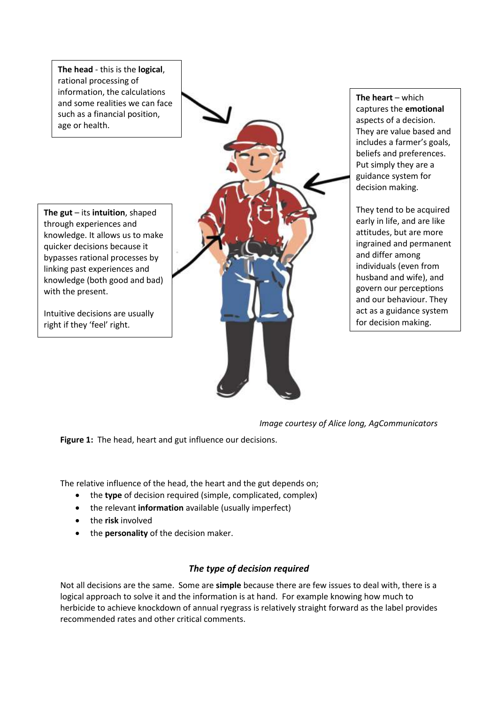**The head** - this is the **logical**, rational processing of information, the calculations and some realities we can face such as a financial position, age or health.

**The gut** – its **intuition**, shaped through experiences and knowledge. It allows us to make quicker decisions because it bypasses rational processes by linking past experiences and knowledge (both good and bad) with the present.

Intuitive decisions are usually right if they 'feel' right.

**The heart** – which captures the **emotional** aspects of a decision. They are value based and includes a farmer's goals, beliefs and preferences. Put simply they are a guidance system for decision making.

They tend to be acquired early in life, and are like attitudes, but are more ingrained and permanent and differ among individuals (even from husband and wife), and govern our perceptions and our behaviour. They act as a guidance system for decision making.

*Image courtesy of Alice long, AgCommunicators* 

**Figure 1:** The head, heart and gut influence our decisions.

The relative influence of the head, the heart and the gut depends on;

- the **type** of decision required (simple, complicated, complex)
- the relevant **information** available (usually imperfect)
- the **risk** involved
- the **personality** of the decision maker.

# *The type of decision required*

Not all decisions are the same. Some are **simple** because there are few issues to deal with, there is a logical approach to solve it and the information is at hand. For example knowing how much to herbicide to achieve knockdown of annual ryegrass is relatively straight forward as the label provides recommended rates and other critical comments.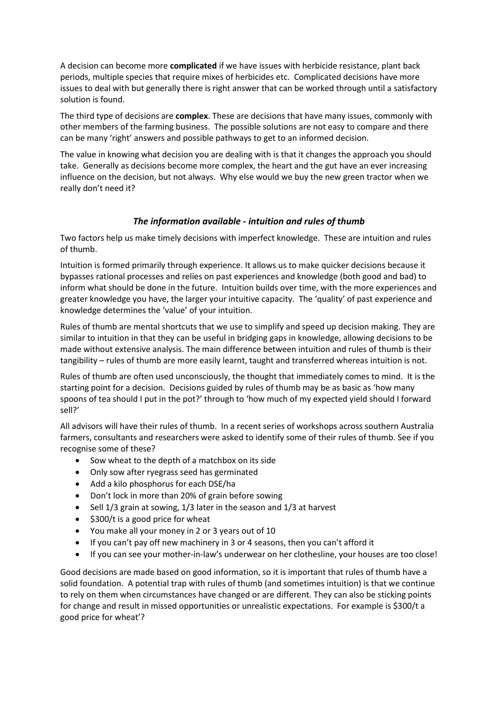A decision can become more **complicated** if we have issues with herbicide resistance, plant back periods, multiple species that require mixes of herbicides etc. Complicated decisions have more issues to deal with but generally there is right answer that can be worked through until a satisfactory solution is found.

The third type of decisions are **complex**. These are decisions that have many issues, commonly with other members of the farming business. The possible solutions are not easy to compare and there can be many 'right' answers and possible pathways to get to an informed decision.

The value in knowing what decision you are dealing with is that it changes the approach you should take. Generally as decisions become more complex, the heart and the gut have an ever increasing influence on the decision, but not always. Why else would we buy the new green tractor when we really don't need it?

# *The information available - intuition and rules of thumb*

Two factors help us make timely decisions with imperfect knowledge. These are intuition and rules of thumb.

Intuition is formed primarily through experience. It allows us to make quicker decisions because it bypasses rational processes and relies on past experiences and knowledge (both good and bad) to inform what should be done in the future. Intuition builds over time, with the more experiences and greater knowledge you have, the larger your intuitive capacity. The 'quality' of past experience and knowledge determines the 'value' of your intuition.

Rules of thumb are mental shortcuts that we use to simplify and speed up decision making. They are similar to intuition in that they can be useful in bridging gaps in knowledge, allowing decisions to be made without extensive analysis. The main difference between intuition and rules of thumb is their tangibility – rules of thumb are more easily learnt, taught and transferred whereas intuition is not.

Rules of thumb are often used unconsciously, the thought that immediately comes to mind. It is the starting point for a decision. Decisions guided by rules of thumb may be as basic as 'how many spoons of tea should I put in the pot?' through to 'how much of my expected yield should I forward sell?'

All advisors will have their rules of thumb. In a recent series of workshops across southern Australia farmers, consultants and researchers were asked to identify some of their rules of thumb. See if you recognise some of these?

- Sow wheat to the depth of a matchbox on its side
- Only sow after ryegrass seed has germinated
- Add a kilo phosphorus for each DSE/ha
- Don't lock in more than 20% of grain before sowing
- $\bullet$  Sell 1/3 grain at sowing, 1/3 later in the season and 1/3 at harvest
- $\bullet$  \$300/t is a good price for wheat
- You make all your money in 2 or 3 years out of 10
- If you can't pay off new machinery in 3 or 4 seasons, then you can't afford it
- If you can see your mother-in-law's underwear on her clothesline, your houses are too close!

Good decisions are made based on good information, so it is important that rules of thumb have a solid foundation. A potential trap with rules of thumb (and sometimes intuition) is that we continue to rely on them when circumstances have changed or are different. They can also be sticking points for change and result in missed opportunities or unrealistic expectations. For example is \$300/t a good price for wheat'?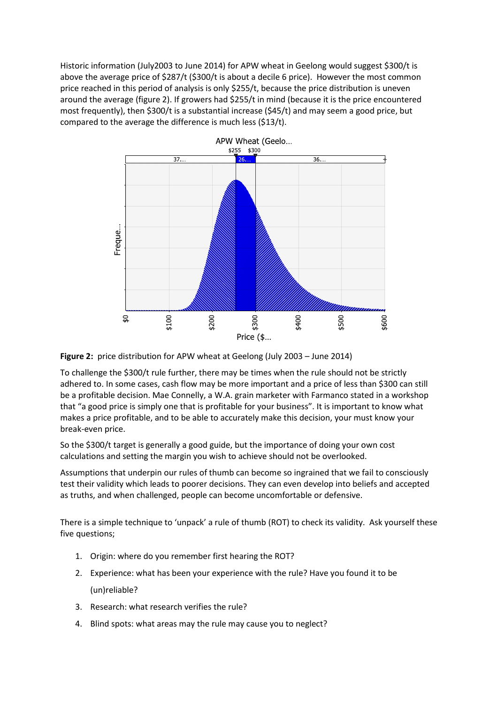Historic information (July2003 to June 2014) for APW wheat in Geelong would suggest \$300/t is above the average price of \$287/t (\$300/t is about a decile 6 price). However the most common price reached in this period of analysis is only \$255/t, because the price distribution is uneven around the average (figure 2). If growers had \$255/t in mind (because it is the price encountered most frequently), then \$300/t is a substantial increase (\$45/t) and may seem a good price, but compared to the average the difference is much less (\$13/t).





To challenge the \$300/t rule further, there may be times when the rule should not be strictly adhered to. In some cases, cash flow may be more important and a price of less than \$300 can still be a profitable decision. Mae Connelly, a W.A. grain marketer with Farmanco stated in a workshop that "a good price is simply one that is profitable for your business". It is important to know what makes a price profitable, and to be able to accurately make this decision, your must know your break-even price.

So the \$300/t target is generally a good guide, but the importance of doing your own cost calculations and setting the margin you wish to achieve should not be overlooked.

Assumptions that underpin our rules of thumb can become so ingrained that we fail to consciously test their validity which leads to poorer decisions. They can even develop into beliefs and accepted as truths, and when challenged, people can become uncomfortable or defensive.

There is a simple technique to 'unpack' a rule of thumb (ROT) to check its validity. Ask yourself these five questions;

- 1. Origin: where do you remember first hearing the ROT?
- 2. Experience: what has been your experience with the rule? Have you found it to be (un)reliable?
- 3. Research: what research verifies the rule?
- 4. Blind spots: what areas may the rule may cause you to neglect?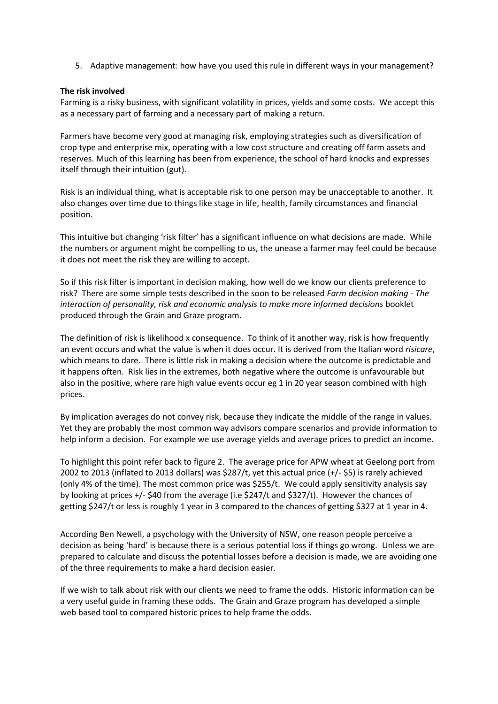5. Adaptive management: how have you used this rule in different ways in your management?

### **The risk involved**

Farming is a risky business, with significant volatility in prices, yields and some costs. We accept this as a necessary part of farming and a necessary part of making a return.

Farmers have become very good at managing risk, employing strategies such as diversification of crop type and enterprise mix, operating with a low cost structure and creating off farm assets and reserves. Much of this learning has been from experience, the school of hard knocks and expresses itself through their intuition (gut).

Risk is an individual thing, what is acceptable risk to one person may be unacceptable to another. It also changes over time due to things like stage in life, health, family circumstances and financial position.

This intuitive but changing 'risk filter' has a significant influence on what decisions are made. While the numbers or argument might be compelling to us, the unease a farmer may feel could be because it does not meet the risk they are willing to accept.

So if this risk filter is important in decision making, how well do we know our clients preference to risk? There are some simple tests described in the soon to be released *Farm decision making - The interaction of personality, risk and economic analysis to make more informed decisions* booklet produced through the Grain and Graze program.

The definition of risk is likelihood x consequence. To think of it another way, risk is how frequently an event occurs and what the value is when it does occur. It is derived from the Italian word *risicare*, which means to dare. There is little risk in making a decision where the outcome is predictable and it happens often. Risk lies in the extremes, both negative where the outcome is unfavourable but also in the positive, where rare high value events occur eg 1 in 20 year season combined with high prices.

By implication averages do not convey risk, because they indicate the middle of the range in values. Yet they are probably the most common way advisors compare scenarios and provide information to help inform a decision. For example we use average yields and average prices to predict an income.

To highlight this point refer back to figure 2. The average price for APW wheat at Geelong port from 2002 to 2013 (inflated to 2013 dollars) was \$287/t, yet this actual price (+/- \$5) is rarely achieved (only 4% of the time). The most common price was \$255/t. We could apply sensitivity analysis say by looking at prices +/- \$40 from the average (i.e \$247/t and \$327/t). However the chances of getting \$247/t or less is roughly 1 year in 3 compared to the chances of getting \$327 at 1 year in 4.

According Ben Newell, a psychology with the University of NSW, one reason people perceive a decision as being 'hard' is because there is a serious potential loss if things go wrong. Unless we are prepared to calculate and discuss the potential losses before a decision is made, we are avoiding one of the three requirements to make a hard decision easier.

If we wish to talk about risk with our clients we need to frame the odds. Historic information can be a very useful guide in framing these odds. The Grain and Graze program has developed a simple web based tool to compared historic prices to help frame the odds.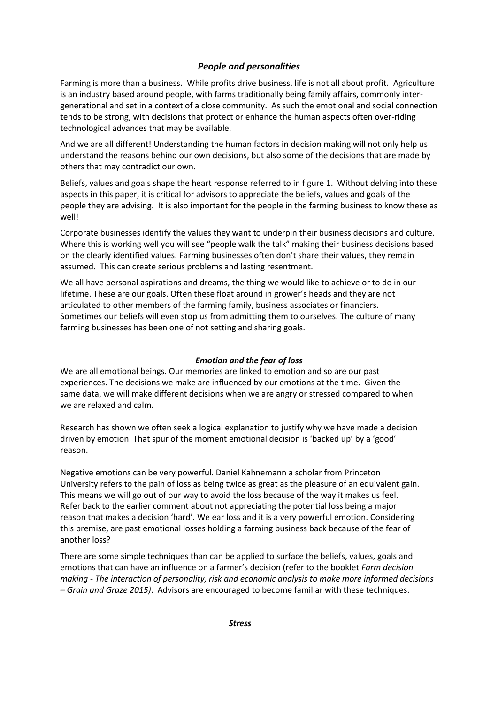# *People and personalities*

Farming is more than a business. While profits drive business, life is not all about profit. Agriculture is an industry based around people, with farms traditionally being family affairs, commonly intergenerational and set in a context of a close community. As such the emotional and social connection tends to be strong, with decisions that protect or enhance the human aspects often over-riding technological advances that may be available.

And we are all different! Understanding the human factors in decision making will not only help us understand the reasons behind our own decisions, but also some of the decisions that are made by others that may contradict our own.

Beliefs, values and goals shape the heart response referred to in figure 1. Without delving into these aspects in this paper, it is critical for advisors to appreciate the beliefs, values and goals of the people they are advising. It is also important for the people in the farming business to know these as well!

Corporate businesses identify the values they want to underpin their business decisions and culture. Where this is working well you will see "people walk the talk" making their business decisions based on the clearly identified values. Farming businesses often don't share their values, they remain assumed. This can create serious problems and lasting resentment.

We all have personal aspirations and dreams, the thing we would like to achieve or to do in our lifetime. These are our goals. Often these float around in grower's heads and they are not articulated to other members of the farming family, business associates or financiers. Sometimes our beliefs will even stop us from admitting them to ourselves. The culture of many farming businesses has been one of not setting and sharing goals.

## *Emotion and the fear of loss*

We are all emotional beings. Our memories are linked to emotion and so are our past experiences. The decisions we make are influenced by our emotions at the time. Given the same data, we will make different decisions when we are angry or stressed compared to when we are relaxed and calm.

Research has shown we often seek a logical explanation to justify why we have made a decision driven by emotion. That spur of the moment emotional decision is 'backed up' by a 'good' reason.

Negative emotions can be very powerful. Daniel Kahnemann a scholar from Princeton University refers to the pain of loss as being twice as great as the pleasure of an equivalent gain. This means we will go out of our way to avoid the loss because of the way it makes us feel. Refer back to the earlier comment about not appreciating the potential loss being a major reason that makes a decision 'hard'. We ear loss and it is a very powerful emotion. Considering this premise, are past emotional losses holding a farming business back because of the fear of another loss?

There are some simple techniques than can be applied to surface the beliefs, values, goals and emotions that can have an influence on a farmer's decision (refer to the booklet *Farm decision making - The interaction of personality, risk and economic analysis to make more informed decisions – Grain and Graze 2015)*. Advisors are encouraged to become familiar with these techniques.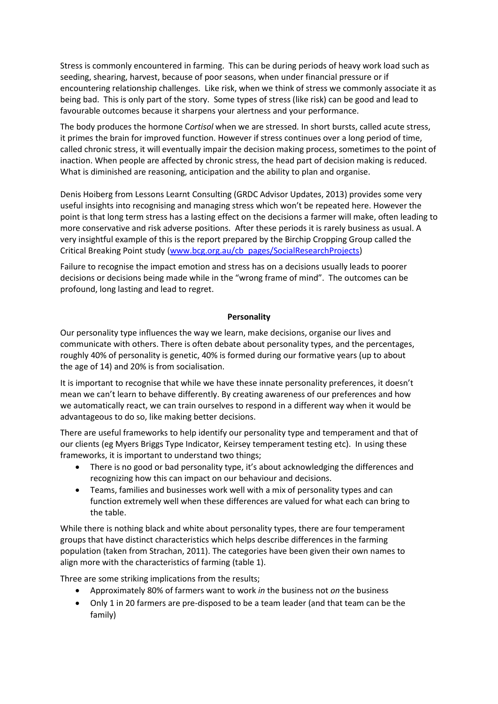Stress is commonly encountered in farming. This can be during periods of heavy work load such as seeding, shearing, harvest, because of poor seasons, when under financial pressure or if encountering relationship challenges. Like risk, when we think of stress we commonly associate it as being bad. This is only part of the story. Some types of stress (like risk) can be good and lead to favourable outcomes because it sharpens your alertness and your performance.

The body produces the hormone C*ortisol* when we are stressed*.* In short bursts, called acute stress, it primes the brain for improved function. However if stress continues over a long period of time, called chronic stress, it will eventually impair the decision making process, sometimes to the point of inaction. When people are affected by chronic stress, the head part of decision making is reduced. What is diminished are reasoning, anticipation and the ability to plan and organise.

Denis Hoiberg from Lessons Learnt Consulting (GRDC Advisor Updates, 2013) provides some very useful insights into recognising and managing stress which won't be repeated here. However the point is that long term stress has a lasting effect on the decisions a farmer will make, often leading to more conservative and risk adverse positions. After these periods it is rarely business as usual. A very insightful example of this is the report prepared by the Birchip Cropping Group called the Critical Breaking Point study [\(www.bcg.org.au/cb\\_pages/SocialResearchProjects\)](http://www.bcg.org.au/cb_pages/SocialResearchProjects)

Failure to recognise the impact emotion and stress has on a decisions usually leads to poorer decisions or decisions being made while in the "wrong frame of mind". The outcomes can be profound, long lasting and lead to regret.

### **Personality**

Our personality type influences the way we learn, make decisions, organise our lives and communicate with others. There is often debate about personality types, and the percentages, roughly 40% of personality is genetic, 40% is formed during our formative years (up to about the age of 14) and 20% is from socialisation.

It is important to recognise that while we have these innate personality preferences, it doesn't mean we can't learn to behave differently. By creating awareness of our preferences and how we automatically react, we can train ourselves to respond in a different way when it would be advantageous to do so, like making better decisions.

There are useful frameworks to help identify our personality type and temperament and that of our clients (eg Myers Briggs Type Indicator, Keirsey temperament testing etc). In using these frameworks, it is important to understand two things;

- There is no good or bad personality type, it's about acknowledging the differences and recognizing how this can impact on our behaviour and decisions.
- Teams, families and businesses work well with a mix of personality types and can function extremely well when these differences are valued for what each can bring to the table.

While there is nothing black and white about personality types, there are four temperament groups that have distinct characteristics which helps describe differences in the farming population (taken from Strachan, 2011). The categories have been given their own names to align more with the characteristics of farming (table 1).

Three are some striking implications from the results;

- Approximately 80% of farmers want to work *in* the business not *on* the business
- Only 1 in 20 farmers are pre-disposed to be a team leader (and that team can be the family)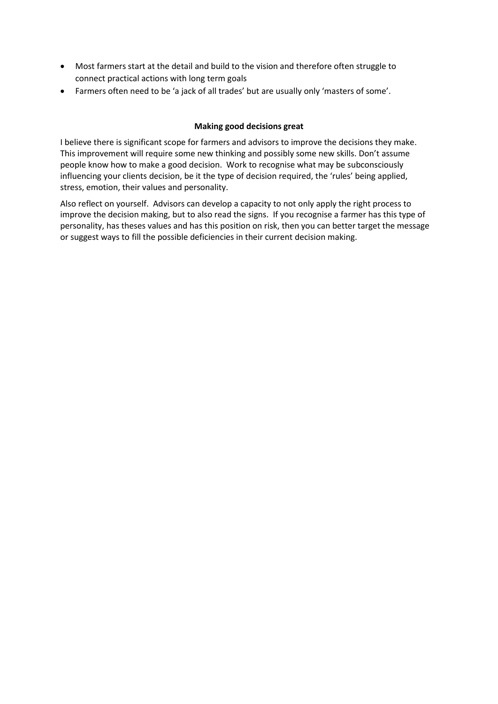- Most farmers start at the detail and build to the vision and therefore often struggle to connect practical actions with long term goals
- Farmers often need to be 'a jack of all trades' but are usually only 'masters of some'.

## **Making good decisions great**

I believe there is significant scope for farmers and advisors to improve the decisions they make. This improvement will require some new thinking and possibly some new skills. Don't assume people know how to make a good decision. Work to recognise what may be subconsciously influencing your clients decision, be it the type of decision required, the 'rules' being applied, stress, emotion, their values and personality.

Also reflect on yourself. Advisors can develop a capacity to not only apply the right process to improve the decision making, but to also read the signs. If you recognise a farmer has this type of personality, has theses values and has this position on risk, then you can better target the message or suggest ways to fill the possible deficiencies in their current decision making.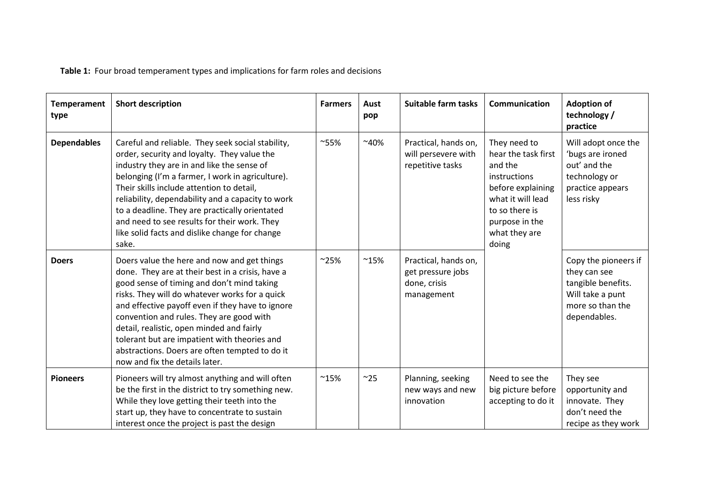**Table 1:** Four broad temperament types and implications for farm roles and decisions

| <b>Temperament</b><br>type | <b>Short description</b>                                                                                                                                                                                                                                                                                                                                                                                                                                                         | <b>Farmers</b> | Aust<br>pop   | Suitable farm tasks                                                     | Communication                                                                                                                                                          | <b>Adoption of</b><br>technology /<br>practice                                                                     |
|----------------------------|----------------------------------------------------------------------------------------------------------------------------------------------------------------------------------------------------------------------------------------------------------------------------------------------------------------------------------------------------------------------------------------------------------------------------------------------------------------------------------|----------------|---------------|-------------------------------------------------------------------------|------------------------------------------------------------------------------------------------------------------------------------------------------------------------|--------------------------------------------------------------------------------------------------------------------|
| <b>Dependables</b>         | Careful and reliable. They seek social stability,<br>order, security and loyalty. They value the<br>industry they are in and like the sense of<br>belonging (I'm a farmer, I work in agriculture).<br>Their skills include attention to detail,<br>reliability, dependability and a capacity to work<br>to a deadline. They are practically orientated<br>and need to see results for their work. They<br>like solid facts and dislike change for change<br>sake.                | $^{\sim}55\%$  | $~10\%$       | Practical, hands on,<br>will persevere with<br>repetitive tasks         | They need to<br>hear the task first<br>and the<br>instructions<br>before explaining<br>what it will lead<br>to so there is<br>purpose in the<br>what they are<br>doing | Will adopt once the<br>'bugs are ironed<br>out' and the<br>technology or<br>practice appears<br>less risky         |
| <b>Doers</b>               | Doers value the here and now and get things<br>done. They are at their best in a crisis, have a<br>good sense of timing and don't mind taking<br>risks. They will do whatever works for a quick<br>and effective payoff even if they have to ignore<br>convention and rules. They are good with<br>detail, realistic, open minded and fairly<br>tolerant but are impatient with theories and<br>abstractions. Doers are often tempted to do it<br>now and fix the details later. | $^{\sim}25\%$  | $^{\sim}15\%$ | Practical, hands on,<br>get pressure jobs<br>done, crisis<br>management |                                                                                                                                                                        | Copy the pioneers if<br>they can see<br>tangible benefits.<br>Will take a punt<br>more so than the<br>dependables. |
| <b>Pioneers</b>            | Pioneers will try almost anything and will often<br>be the first in the district to try something new.<br>While they love getting their teeth into the<br>start up, they have to concentrate to sustain<br>interest once the project is past the design                                                                                                                                                                                                                          | $^{\sim}15\%$  | ~25           | Planning, seeking<br>new ways and new<br>innovation                     | Need to see the<br>big picture before<br>accepting to do it                                                                                                            | They see<br>opportunity and<br>innovate. They<br>don't need the<br>recipe as they work                             |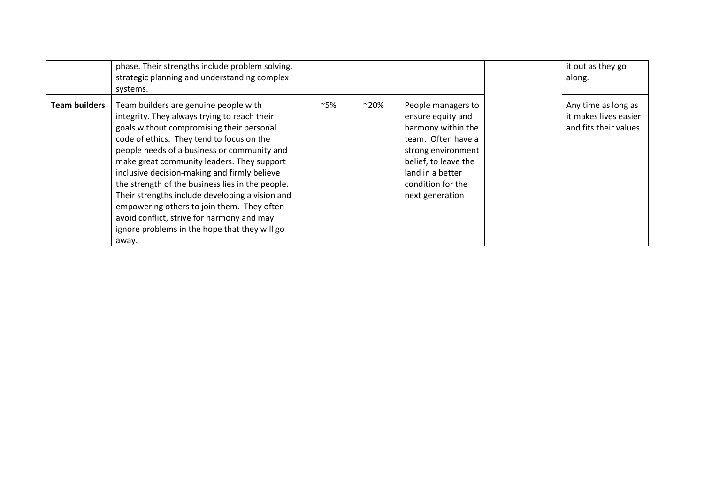|                      | phase. Their strengths include problem solving,<br>strategic planning and understanding complex<br>systems.                                                                                                                                                                                                                                                                                                                                                                                                                                                                               |     |               |                                                                                                                                                                                               | it out as they go<br>along.                                           |
|----------------------|-------------------------------------------------------------------------------------------------------------------------------------------------------------------------------------------------------------------------------------------------------------------------------------------------------------------------------------------------------------------------------------------------------------------------------------------------------------------------------------------------------------------------------------------------------------------------------------------|-----|---------------|-----------------------------------------------------------------------------------------------------------------------------------------------------------------------------------------------|-----------------------------------------------------------------------|
| <b>Team builders</b> | Team builders are genuine people with<br>integrity. They always trying to reach their<br>goals without compromising their personal<br>code of ethics. They tend to focus on the<br>people needs of a business or community and<br>make great community leaders. They support<br>inclusive decision-making and firmly believe<br>the strength of the business lies in the people.<br>Their strengths include developing a vision and<br>empowering others to join them. They often<br>avoid conflict, strive for harmony and may<br>ignore problems in the hope that they will go<br>away. | ~5% | $^{\sim}20\%$ | People managers to<br>ensure equity and<br>harmony within the<br>team. Often have a<br>strong environment<br>belief, to leave the<br>land in a better<br>condition for the<br>next generation | Any time as long as<br>it makes lives easier<br>and fits their values |